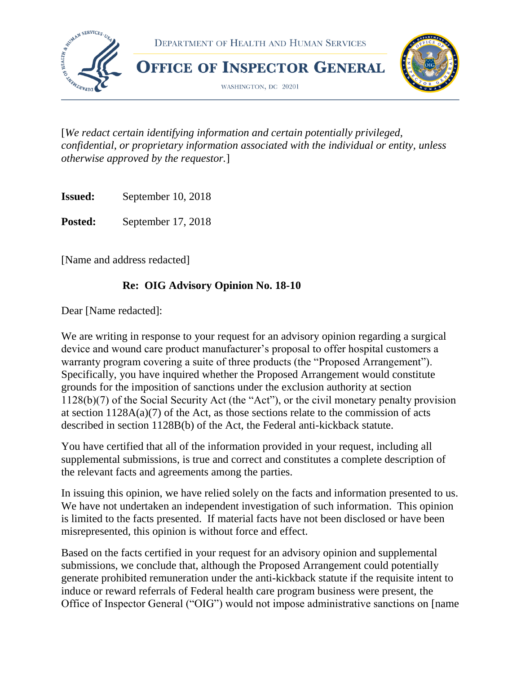

[*We redact certain identifying information and certain potentially privileged, confidential, or proprietary information associated with the individual or entity, unless otherwise approved by the requestor.*]

**Issued:** September 10, 2018

Posted: September 17, 2018

[Name and address redacted]

#### **Re: OIG Advisory Opinion No. 18-10**

Dear [Name redacted]:

We are writing in response to your request for an advisory opinion regarding a surgical device and wound care product manufacturer's proposal to offer hospital customers a warranty program covering a suite of three products (the "Proposed Arrangement"). Specifically, you have inquired whether the Proposed Arrangement would constitute grounds for the imposition of sanctions under the exclusion authority at section 1128(b)(7) of the Social Security Act (the "Act"), or the civil monetary penalty provision at section  $1128A(a)(7)$  of the Act, as those sections relate to the commission of acts described in section 1128B(b) of the Act, the Federal anti-kickback statute.

You have certified that all of the information provided in your request, including all supplemental submissions, is true and correct and constitutes a complete description of the relevant facts and agreements among the parties.

In issuing this opinion, we have relied solely on the facts and information presented to us. We have not undertaken an independent investigation of such information. This opinion is limited to the facts presented. If material facts have not been disclosed or have been misrepresented, this opinion is without force and effect.

Based on the facts certified in your request for an advisory opinion and supplemental submissions, we conclude that, although the Proposed Arrangement could potentially generate prohibited remuneration under the anti-kickback statute if the requisite intent to induce or reward referrals of Federal health care program business were present, the Office of Inspector General ("OIG") would not impose administrative sanctions on [name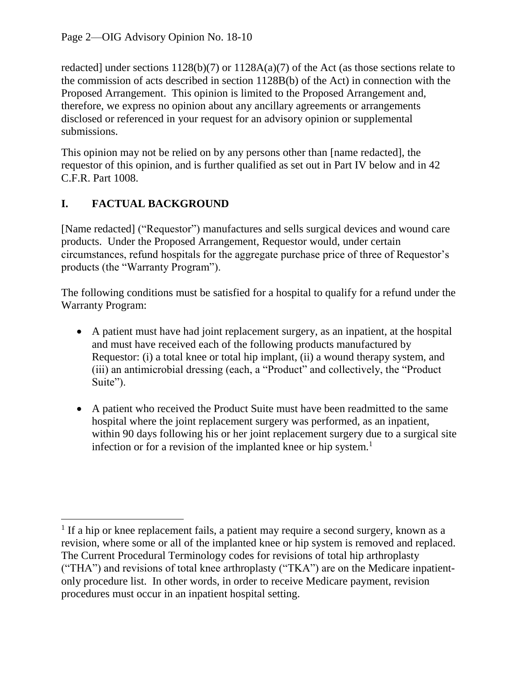redacted] under sections 1128(b)(7) or 1128A(a)(7) of the Act (as those sections relate to the commission of acts described in section 1128B(b) of the Act) in connection with the Proposed Arrangement. This opinion is limited to the Proposed Arrangement and, therefore, we express no opinion about any ancillary agreements or arrangements disclosed or referenced in your request for an advisory opinion or supplemental submissions.

This opinion may not be relied on by any persons other than [name redacted], the requestor of this opinion, and is further qualified as set out in Part IV below and in 42 C.F.R. Part 1008.

# **I. FACTUAL BACKGROUND**

 $\overline{\phantom{a}}$ 

[Name redacted] ("Requestor") manufactures and sells surgical devices and wound care products. Under the Proposed Arrangement, Requestor would, under certain circumstances, refund hospitals for the aggregate purchase price of three of Requestor's products (the "Warranty Program").

The following conditions must be satisfied for a hospital to qualify for a refund under the Warranty Program:

- A patient must have had joint replacement surgery, as an inpatient, at the hospital and must have received each of the following products manufactured by Requestor: (i) a total knee or total hip implant, (ii) a wound therapy system, and (iii) an antimicrobial dressing (each, a "Product" and collectively, the "Product Suite").
- A patient who received the Product Suite must have been readmitted to the same hospital where the joint replacement surgery was performed, as an inpatient, within 90 days following his or her joint replacement surgery due to a surgical site infection or for a revision of the implanted knee or hip system.<sup>1</sup>

<sup>&</sup>lt;sup>1</sup> If a hip or knee replacement fails, a patient may require a second surgery, known as a revision, where some or all of the implanted knee or hip system is removed and replaced. The Current Procedural Terminology codes for revisions of total hip arthroplasty ("THA") and revisions of total knee arthroplasty ("TKA") are on the Medicare inpatientonly procedure list. In other words, in order to receive Medicare payment, revision procedures must occur in an inpatient hospital setting.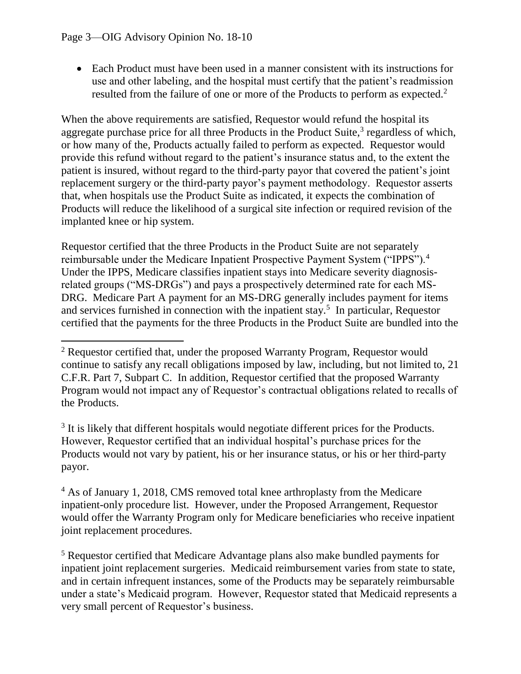Each Product must have been used in a manner consistent with its instructions for use and other labeling, and the hospital must certify that the patient's readmission resulted from the failure of one or more of the Products to perform as expected.<sup>2</sup>

When the above requirements are satisfied, Requestor would refund the hospital its aggregate purchase price for all three Products in the Product Suite, $3$  regardless of which, or how many of the, Products actually failed to perform as expected. Requestor would provide this refund without regard to the patient's insurance status and, to the extent the patient is insured, without regard to the third-party payor that covered the patient's joint replacement surgery or the third-party payor's payment methodology. Requestor asserts that, when hospitals use the Product Suite as indicated, it expects the combination of Products will reduce the likelihood of a surgical site infection or required revision of the implanted knee or hip system.

Requestor certified that the three Products in the Product Suite are not separately reimbursable under the Medicare Inpatient Prospective Payment System ("IPPS").<sup>4</sup> Under the IPPS, Medicare classifies inpatient stays into Medicare severity diagnosisrelated groups ("MS-DRGs") and pays a prospectively determined rate for each MS-DRG. Medicare Part A payment for an MS-DRG generally includes payment for items and services furnished in connection with the inpatient stay.<sup>5</sup> In particular, Requestor certified that the payments for the three Products in the Product Suite are bundled into the

 $3$  It is likely that different hospitals would negotiate different prices for the Products. However, Requestor certified that an individual hospital's purchase prices for the Products would not vary by patient, his or her insurance status, or his or her third-party payor.

<sup>5</sup> Requestor certified that Medicare Advantage plans also make bundled payments for inpatient joint replacement surgeries. Medicaid reimbursement varies from state to state, and in certain infrequent instances, some of the Products may be separately reimbursable under a state's Medicaid program. However, Requestor stated that Medicaid represents a very small percent of Requestor's business.

l  $2$  Requestor certified that, under the proposed Warranty Program, Requestor would continue to satisfy any recall obligations imposed by law, including, but not limited to, 21 C.F.R. Part 7, Subpart C. In addition, Requestor certified that the proposed Warranty Program would not impact any of Requestor's contractual obligations related to recalls of the Products.

<sup>4</sup> As of January 1, 2018, CMS removed total knee arthroplasty from the Medicare inpatient-only procedure list. However, under the Proposed Arrangement, Requestor would offer the Warranty Program only for Medicare beneficiaries who receive inpatient joint replacement procedures.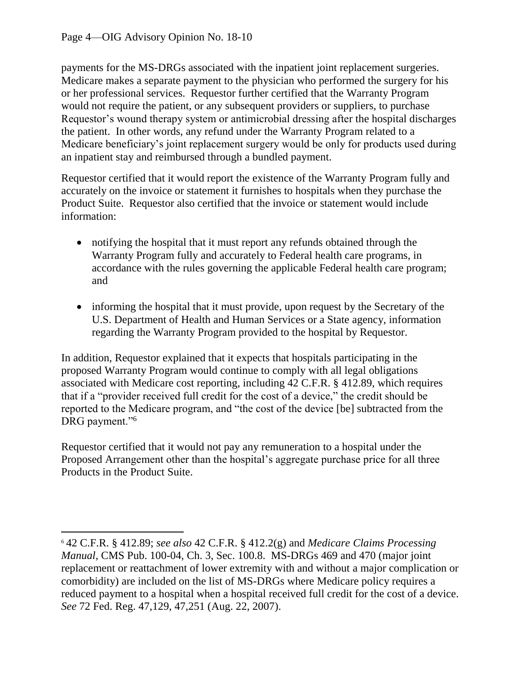payments for the MS-DRGs associated with the inpatient joint replacement surgeries. Medicare makes a separate payment to the physician who performed the surgery for his or her professional services. Requestor further certified that the Warranty Program would not require the patient, or any subsequent providers or suppliers, to purchase Requestor's wound therapy system or antimicrobial dressing after the hospital discharges the patient. In other words, any refund under the Warranty Program related to a Medicare beneficiary's joint replacement surgery would be only for products used during an inpatient stay and reimbursed through a bundled payment.

Requestor certified that it would report the existence of the Warranty Program fully and accurately on the invoice or statement it furnishes to hospitals when they purchase the Product Suite. Requestor also certified that the invoice or statement would include information:

- notifying the hospital that it must report any refunds obtained through the Warranty Program fully and accurately to Federal health care programs, in accordance with the rules governing the applicable Federal health care program; and
- informing the hospital that it must provide, upon request by the Secretary of the U.S. Department of Health and Human Services or a State agency, information regarding the Warranty Program provided to the hospital by Requestor.

In addition, Requestor explained that it expects that hospitals participating in the proposed Warranty Program would continue to comply with all legal obligations associated with Medicare cost reporting, including 42 C.F.R. § 412.89, which requires that if a "provider received full credit for the cost of a device," the credit should be reported to the Medicare program, and "the cost of the device [be] subtracted from the DRG payment."<sup>6</sup>

Requestor certified that it would not pay any remuneration to a hospital under the Proposed Arrangement other than the hospital's aggregate purchase price for all three Products in the Product Suite.

 $\overline{\phantom{a}}$ <sup>6</sup> 42 C.F.R. § 412.89; *see also* 42 C.F.R. § 412.2(g) and *Medicare Claims Processing Manual*, CMS Pub. 100-04, Ch. 3, Sec. 100.8. MS-DRGs 469 and 470 (major joint replacement or reattachment of lower extremity with and without a major complication or comorbidity) are included on the list of MS-DRGs where Medicare policy requires a reduced payment to a hospital when a hospital received full credit for the cost of a device. *See* 72 Fed. Reg. 47,129, 47,251 (Aug. 22, 2007).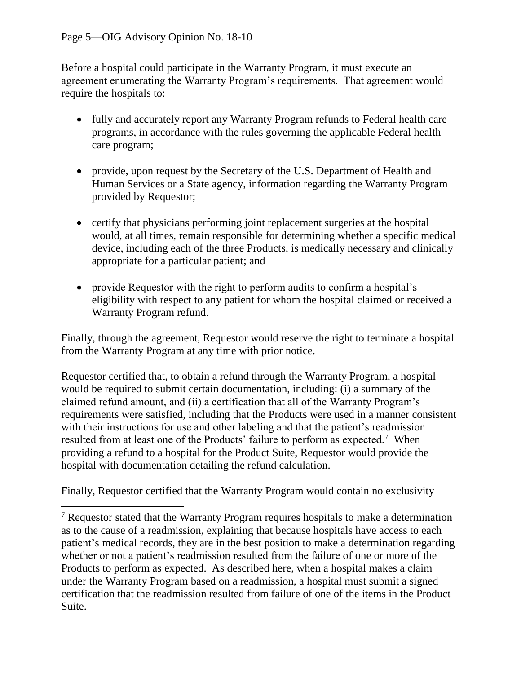Before a hospital could participate in the Warranty Program, it must execute an agreement enumerating the Warranty Program's requirements. That agreement would require the hospitals to:

- fully and accurately report any Warranty Program refunds to Federal health care programs, in accordance with the rules governing the applicable Federal health care program;
- provide, upon request by the Secretary of the U.S. Department of Health and Human Services or a State agency, information regarding the Warranty Program provided by Requestor;
- certify that physicians performing joint replacement surgeries at the hospital would, at all times, remain responsible for determining whether a specific medical device, including each of the three Products, is medically necessary and clinically appropriate for a particular patient; and
- provide Requestor with the right to perform audits to confirm a hospital's eligibility with respect to any patient for whom the hospital claimed or received a Warranty Program refund.

Finally, through the agreement, Requestor would reserve the right to terminate a hospital from the Warranty Program at any time with prior notice.

Requestor certified that, to obtain a refund through the Warranty Program, a hospital would be required to submit certain documentation, including: (i) a summary of the claimed refund amount, and (ii) a certification that all of the Warranty Program's requirements were satisfied, including that the Products were used in a manner consistent with their instructions for use and other labeling and that the patient's readmission resulted from at least one of the Products' failure to perform as expected.<sup>7</sup> When providing a refund to a hospital for the Product Suite, Requestor would provide the hospital with documentation detailing the refund calculation.

Finally, Requestor certified that the Warranty Program would contain no exclusivity

 $\overline{\phantom{a}}$  $<sup>7</sup>$  Requestor stated that the Warranty Program requires hospitals to make a determination</sup> as to the cause of a readmission, explaining that because hospitals have access to each patient's medical records, they are in the best position to make a determination regarding whether or not a patient's readmission resulted from the failure of one or more of the Products to perform as expected. As described here, when a hospital makes a claim under the Warranty Program based on a readmission, a hospital must submit a signed certification that the readmission resulted from failure of one of the items in the Product Suite.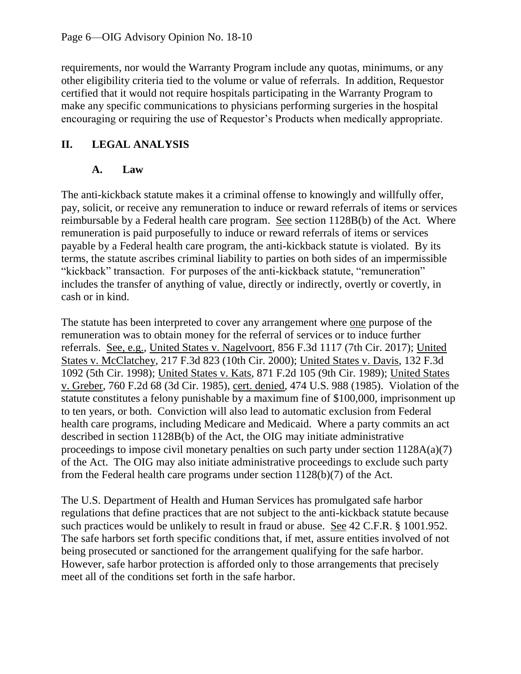requirements, nor would the Warranty Program include any quotas, minimums, or any other eligibility criteria tied to the volume or value of referrals. In addition, Requestor certified that it would not require hospitals participating in the Warranty Program to make any specific communications to physicians performing surgeries in the hospital encouraging or requiring the use of Requestor's Products when medically appropriate.

## **II. LEGAL ANALYSIS**

## **A. Law**

The anti-kickback statute makes it a criminal offense to knowingly and willfully offer, pay, solicit, or receive any remuneration to induce or reward referrals of items or services reimbursable by a Federal health care program. See section 1128B(b) of the Act. Where remuneration is paid purposefully to induce or reward referrals of items or services payable by a Federal health care program, the anti-kickback statute is violated. By its terms, the statute ascribes criminal liability to parties on both sides of an impermissible "kickback" transaction. For purposes of the anti-kickback statute, "remuneration" includes the transfer of anything of value, directly or indirectly, overtly or covertly, in cash or in kind.

The statute has been interpreted to cover any arrangement where one purpose of the remuneration was to obtain money for the referral of services or to induce further referrals. See, e.g., United States v. Nagelvoort, 856 F.3d 1117 (7th Cir. 2017); United States v. McClatchey, 217 F.3d 823 (10th Cir. 2000); United States v. Davis, 132 F.3d 1092 (5th Cir. 1998); United States v. Kats, 871 F.2d 105 (9th Cir. 1989); United States v. Greber, 760 F.2d 68 (3d Cir. 1985), cert. denied, 474 U.S. 988 (1985). Violation of the statute constitutes a felony punishable by a maximum fine of \$100,000, imprisonment up to ten years, or both. Conviction will also lead to automatic exclusion from Federal health care programs, including Medicare and Medicaid. Where a party commits an act described in section 1128B(b) of the Act, the OIG may initiate administrative proceedings to impose civil monetary penalties on such party under section 1128A(a)(7) of the Act. The OIG may also initiate administrative proceedings to exclude such party from the Federal health care programs under section 1128(b)(7) of the Act.

The U.S. Department of Health and Human Services has promulgated safe harbor regulations that define practices that are not subject to the anti-kickback statute because such practices would be unlikely to result in fraud or abuse. See 42 C.F.R. § 1001.952. The safe harbors set forth specific conditions that, if met, assure entities involved of not being prosecuted or sanctioned for the arrangement qualifying for the safe harbor. However, safe harbor protection is afforded only to those arrangements that precisely meet all of the conditions set forth in the safe harbor.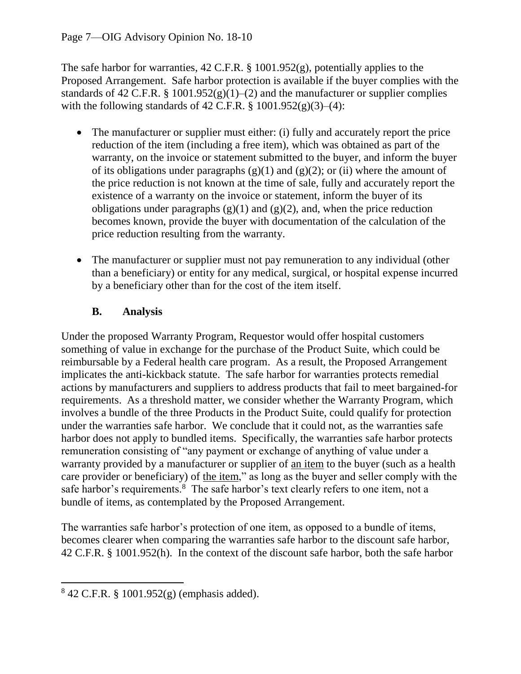#### Page 7—OIG Advisory Opinion No. 18-10

The safe harbor for warranties, 42 C.F.R. § 1001.952(g), potentially applies to the Proposed Arrangement. Safe harbor protection is available if the buyer complies with the standards of 42 C.F.R. § 1001.952(g)(1)–(2) and the manufacturer or supplier complies with the following standards of 42 C.F.R. §  $1001.952(g)(3)–(4)$ :

- The manufacturer or supplier must either: (i) fully and accurately report the price reduction of the item (including a free item), which was obtained as part of the warranty, on the invoice or statement submitted to the buyer, and inform the buyer of its obligations under paragraphs  $(g)(1)$  and  $(g)(2)$ ; or (ii) where the amount of the price reduction is not known at the time of sale, fully and accurately report the existence of a warranty on the invoice or statement, inform the buyer of its obligations under paragraphs  $(g)(1)$  and  $(g)(2)$ , and, when the price reduction becomes known, provide the buyer with documentation of the calculation of the price reduction resulting from the warranty.
- The manufacturer or supplier must not pay remuneration to any individual (other than a beneficiary) or entity for any medical, surgical, or hospital expense incurred by a beneficiary other than for the cost of the item itself.

#### **B. Analysis**

Under the proposed Warranty Program, Requestor would offer hospital customers something of value in exchange for the purchase of the Product Suite, which could be reimbursable by a Federal health care program. As a result, the Proposed Arrangement implicates the anti-kickback statute. The safe harbor for warranties protects remedial actions by manufacturers and suppliers to address products that fail to meet bargained-for requirements. As a threshold matter, we consider whether the Warranty Program, which involves a bundle of the three Products in the Product Suite, could qualify for protection under the warranties safe harbor. We conclude that it could not, as the warranties safe harbor does not apply to bundled items. Specifically, the warranties safe harbor protects remuneration consisting of "any payment or exchange of anything of value under a warranty provided by a manufacturer or supplier of an item to the buyer (such as a health care provider or beneficiary) of the item," as long as the buyer and seller comply with the safe harbor's requirements.<sup>8</sup> The safe harbor's text clearly refers to one item, not a bundle of items, as contemplated by the Proposed Arrangement.

The warranties safe harbor's protection of one item, as opposed to a bundle of items, becomes clearer when comparing the warranties safe harbor to the discount safe harbor, 42 C.F.R. § 1001.952(h). In the context of the discount safe harbor, both the safe harbor

 $\overline{\phantom{a}}$ 

<sup>8</sup> 42 C.F.R. § 1001.952(g) (emphasis added).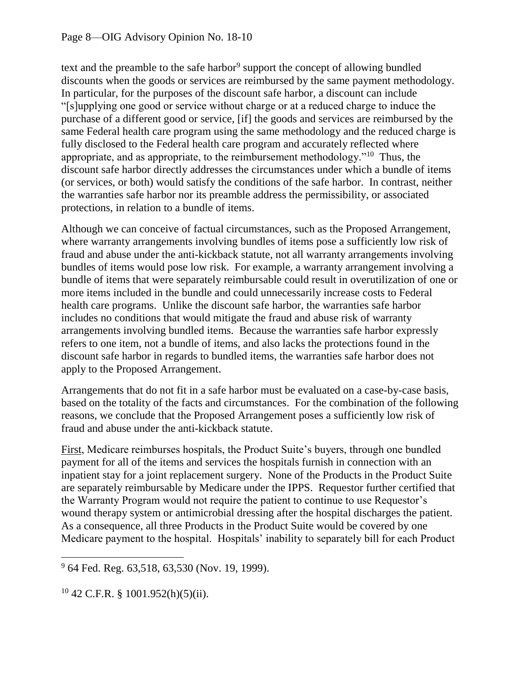text and the preamble to the safe harbor<sup>9</sup> support the concept of allowing bundled discounts when the goods or services are reimbursed by the same payment methodology. In particular, for the purposes of the discount safe harbor, a discount can include "[s]upplying one good or service without charge or at a reduced charge to induce the purchase of a different good or service, [if] the goods and services are reimbursed by the same Federal health care program using the same methodology and the reduced charge is fully disclosed to the Federal health care program and accurately reflected where appropriate, and as appropriate, to the reimbursement methodology."<sup>10</sup> Thus, the discount safe harbor directly addresses the circumstances under which a bundle of items (or services, or both) would satisfy the conditions of the safe harbor. In contrast, neither the warranties safe harbor nor its preamble address the permissibility, or associated protections, in relation to a bundle of items.

Although we can conceive of factual circumstances, such as the Proposed Arrangement, where warranty arrangements involving bundles of items pose a sufficiently low risk of fraud and abuse under the anti-kickback statute, not all warranty arrangements involving bundles of items would pose low risk. For example, a warranty arrangement involving a bundle of items that were separately reimbursable could result in overutilization of one or more items included in the bundle and could unnecessarily increase costs to Federal health care programs. Unlike the discount safe harbor, the warranties safe harbor includes no conditions that would mitigate the fraud and abuse risk of warranty arrangements involving bundled items. Because the warranties safe harbor expressly refers to one item, not a bundle of items, and also lacks the protections found in the discount safe harbor in regards to bundled items, the warranties safe harbor does not apply to the Proposed Arrangement.

Arrangements that do not fit in a safe harbor must be evaluated on a case-by-case basis, based on the totality of the facts and circumstances. For the combination of the following reasons, we conclude that the Proposed Arrangement poses a sufficiently low risk of fraud and abuse under the anti-kickback statute.

First, Medicare reimburses hospitals, the Product Suite's buyers, through one bundled payment for all of the items and services the hospitals furnish in connection with an inpatient stay for a joint replacement surgery. None of the Products in the Product Suite are separately reimbursable by Medicare under the IPPS. Requestor further certified that the Warranty Program would not require the patient to continue to use Requestor's wound therapy system or antimicrobial dressing after the hospital discharges the patient. As a consequence, all three Products in the Product Suite would be covered by one Medicare payment to the hospital. Hospitals' inability to separately bill for each Product

l <sup>9</sup> 64 Fed. Reg. 63,518, 63,530 (Nov. 19, 1999).

 $10\,42$  C.F.R. §  $1001.952(h)(5)(ii)$ .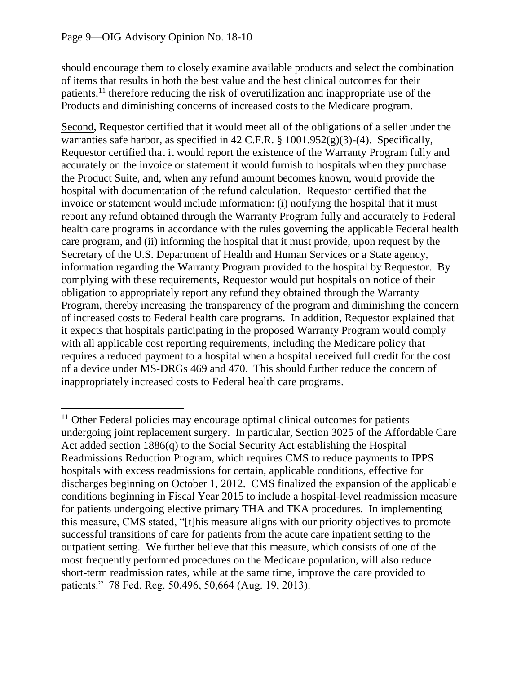$\overline{\phantom{a}}$ 

should encourage them to closely examine available products and select the combination of items that results in both the best value and the best clinical outcomes for their patients,<sup>11</sup> therefore reducing the risk of overutilization and inappropriate use of the Products and diminishing concerns of increased costs to the Medicare program.

Second, Requestor certified that it would meet all of the obligations of a seller under the warranties safe harbor, as specified in 42 C.F.R. § 1001.952(g)(3)-(4). Specifically, Requestor certified that it would report the existence of the Warranty Program fully and accurately on the invoice or statement it would furnish to hospitals when they purchase the Product Suite, and, when any refund amount becomes known, would provide the hospital with documentation of the refund calculation. Requestor certified that the invoice or statement would include information: (i) notifying the hospital that it must report any refund obtained through the Warranty Program fully and accurately to Federal health care programs in accordance with the rules governing the applicable Federal health care program, and (ii) informing the hospital that it must provide, upon request by the Secretary of the U.S. Department of Health and Human Services or a State agency, information regarding the Warranty Program provided to the hospital by Requestor. By complying with these requirements, Requestor would put hospitals on notice of their obligation to appropriately report any refund they obtained through the Warranty Program, thereby increasing the transparency of the program and diminishing the concern of increased costs to Federal health care programs. In addition, Requestor explained that it expects that hospitals participating in the proposed Warranty Program would comply with all applicable cost reporting requirements, including the Medicare policy that requires a reduced payment to a hospital when a hospital received full credit for the cost of a device under MS-DRGs 469 and 470. This should further reduce the concern of inappropriately increased costs to Federal health care programs.

<sup>&</sup>lt;sup>11</sup> Other Federal policies may encourage optimal clinical outcomes for patients undergoing joint replacement surgery. In particular, Section 3025 of the Affordable Care Act added section 1886(q) to the Social Security Act establishing the Hospital Readmissions Reduction Program, which requires CMS to reduce payments to IPPS hospitals with excess readmissions for certain, applicable conditions, effective for discharges beginning on October 1, 2012. CMS finalized the expansion of the applicable conditions beginning in Fiscal Year 2015 to include a hospital-level readmission measure for patients undergoing elective primary THA and TKA procedures. In implementing this measure, CMS stated, "[t]his measure aligns with our priority objectives to promote successful transitions of care for patients from the acute care inpatient setting to the outpatient setting. We further believe that this measure, which consists of one of the most frequently performed procedures on the Medicare population, will also reduce short-term readmission rates, while at the same time, improve the care provided to patients." 78 Fed. Reg. 50,496, 50,664 (Aug. 19, 2013).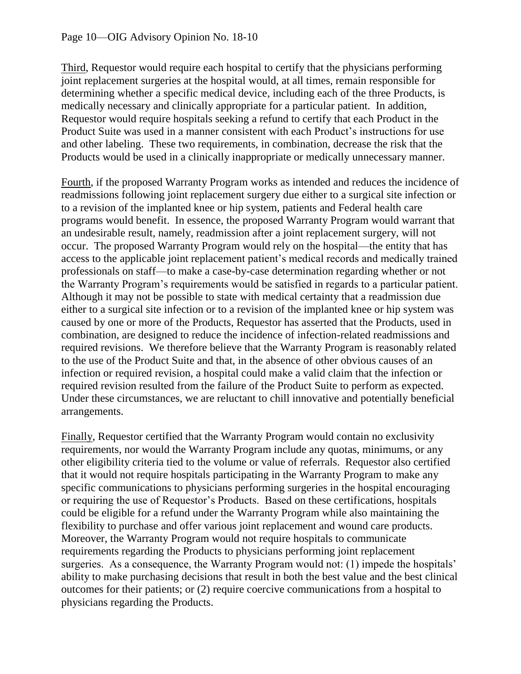Third, Requestor would require each hospital to certify that the physicians performing joint replacement surgeries at the hospital would, at all times, remain responsible for determining whether a specific medical device, including each of the three Products, is medically necessary and clinically appropriate for a particular patient. In addition, Requestor would require hospitals seeking a refund to certify that each Product in the Product Suite was used in a manner consistent with each Product's instructions for use and other labeling. These two requirements, in combination, decrease the risk that the Products would be used in a clinically inappropriate or medically unnecessary manner.

Fourth, if the proposed Warranty Program works as intended and reduces the incidence of readmissions following joint replacement surgery due either to a surgical site infection or to a revision of the implanted knee or hip system, patients and Federal health care programs would benefit. In essence, the proposed Warranty Program would warrant that an undesirable result, namely, readmission after a joint replacement surgery, will not occur. The proposed Warranty Program would rely on the hospital—the entity that has access to the applicable joint replacement patient's medical records and medically trained professionals on staff—to make a case-by-case determination regarding whether or not the Warranty Program's requirements would be satisfied in regards to a particular patient. Although it may not be possible to state with medical certainty that a readmission due either to a surgical site infection or to a revision of the implanted knee or hip system was caused by one or more of the Products, Requestor has asserted that the Products, used in combination, are designed to reduce the incidence of infection-related readmissions and required revisions. We therefore believe that the Warranty Program is reasonably related to the use of the Product Suite and that, in the absence of other obvious causes of an infection or required revision, a hospital could make a valid claim that the infection or required revision resulted from the failure of the Product Suite to perform as expected. Under these circumstances, we are reluctant to chill innovative and potentially beneficial arrangements.

Finally, Requestor certified that the Warranty Program would contain no exclusivity requirements, nor would the Warranty Program include any quotas, minimums, or any other eligibility criteria tied to the volume or value of referrals. Requestor also certified that it would not require hospitals participating in the Warranty Program to make any specific communications to physicians performing surgeries in the hospital encouraging or requiring the use of Requestor's Products. Based on these certifications, hospitals could be eligible for a refund under the Warranty Program while also maintaining the flexibility to purchase and offer various joint replacement and wound care products. Moreover, the Warranty Program would not require hospitals to communicate requirements regarding the Products to physicians performing joint replacement surgeries. As a consequence, the Warranty Program would not: (1) impede the hospitals' ability to make purchasing decisions that result in both the best value and the best clinical outcomes for their patients; or (2) require coercive communications from a hospital to physicians regarding the Products.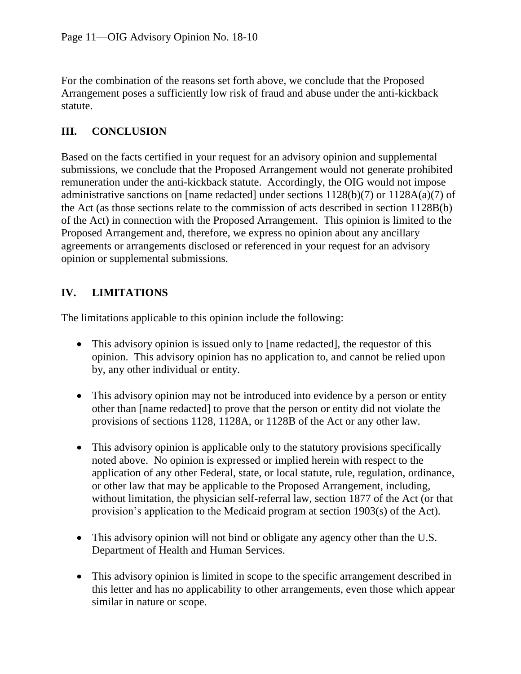For the combination of the reasons set forth above, we conclude that the Proposed Arrangement poses a sufficiently low risk of fraud and abuse under the anti-kickback statute.

### **III. CONCLUSION**

Based on the facts certified in your request for an advisory opinion and supplemental submissions, we conclude that the Proposed Arrangement would not generate prohibited remuneration under the anti-kickback statute. Accordingly, the OIG would not impose administrative sanctions on [name redacted] under sections 1128(b)(7) or 1128A(a)(7) of the Act (as those sections relate to the commission of acts described in section 1128B(b) of the Act) in connection with the Proposed Arrangement. This opinion is limited to the Proposed Arrangement and, therefore, we express no opinion about any ancillary agreements or arrangements disclosed or referenced in your request for an advisory opinion or supplemental submissions.

### **IV. LIMITATIONS**

The limitations applicable to this opinion include the following:

- This advisory opinion is issued only to [name redacted], the requestor of this opinion. This advisory opinion has no application to, and cannot be relied upon by, any other individual or entity.
- This advisory opinion may not be introduced into evidence by a person or entity other than [name redacted] to prove that the person or entity did not violate the provisions of sections 1128, 1128A, or 1128B of the Act or any other law.
- This advisory opinion is applicable only to the statutory provisions specifically noted above. No opinion is expressed or implied herein with respect to the application of any other Federal, state, or local statute, rule, regulation, ordinance, or other law that may be applicable to the Proposed Arrangement, including, without limitation, the physician self-referral law, section 1877 of the Act (or that provision's application to the Medicaid program at section 1903(s) of the Act).
- This advisory opinion will not bind or obligate any agency other than the U.S. Department of Health and Human Services.
- This advisory opinion is limited in scope to the specific arrangement described in this letter and has no applicability to other arrangements, even those which appear similar in nature or scope.